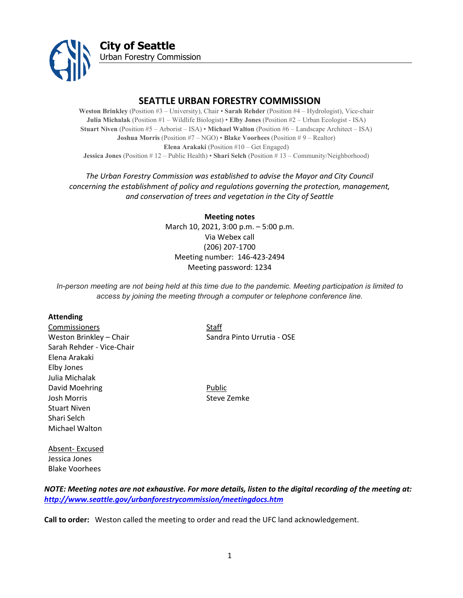

**City of Seattle** Urban Forestry Commission

# **SEATTLE URBAN FORESTRY COMMISSION**

**Weston Brinkley** (Position #3 – University), Chair • **Sarah Rehder** (Position #4 – Hydrologist), Vice-chair **Julia Michalak** (Position #1 – Wildlife Biologist) • **Elby Jones** (Position #2 – Urban Ecologist - ISA) **Stuart Niven** (Position #5 – Arborist – ISA) • **Michael Walton** (Position #6 – Landscape Architect – ISA) **Joshua Morris** (Position #7 – NGO) • **Blake Voorhees** (Position # 9 – Realtor) **Elena Arakaki** (Position #10 – Get Engaged) **Jessica Jones** (Position # 12 – Public Health) • **Shari Selch** (Position # 13 – Community/Neighborhood)

### *The Urban Forestry Commission was established to advise the Mayor and City Council concerning the establishment of policy and regulations governing the protection, management, and conservation of trees and vegetation in the City of Seattle*

**Meeting notes** March 10, 2021, 3:00 p.m. – 5:00 p.m. Via Webex call (206) 207-1700 Meeting number: 146-423-2494 Meeting password: 1234

*In-person meeting are not being held at this time due to the pandemic. Meeting participation is limited to access by joining the meeting through a computer or telephone conference line.*

#### **Attending**

Commissioners Staff Sarah Rehder - Vice-Chair Elena Arakaki Elby Jones Julia Michalak David Moehring **Public** Public Josh Morris **Steve Zemke** Stuart Niven Shari Selch Michael Walton

Weston Brinkley – Chair Sandra Pinto Urrutia - OSE

Absent- Excused Jessica Jones Blake Voorhees

*NOTE: Meeting notes are not exhaustive. For more details, listen to the digital recording of the meeting at: <http://www.seattle.gov/urbanforestrycommission/meetingdocs.htm>*

**Call to order:** Weston called the meeting to order and read the UFC land acknowledgement.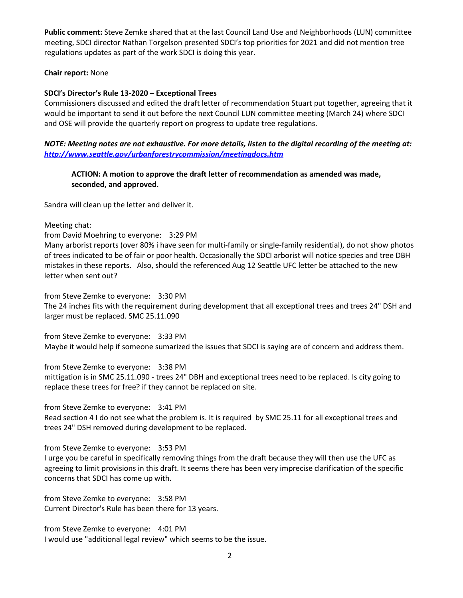**Public comment:** Steve Zemke shared that at the last Council Land Use and Neighborhoods (LUN) committee meeting, SDCI director Nathan Torgelson presented SDCI's top priorities for 2021 and did not mention tree regulations updates as part of the work SDCI is doing this year.

#### **Chair report:** None

#### **SDCI's Director's Rule 13-2020 – Exceptional Trees**

Commissioners discussed and edited the draft letter of recommendation Stuart put together, agreeing that it would be important to send it out before the next Council LUN committee meeting (March 24) where SDCI and OSE will provide the quarterly report on progress to update tree regulations.

*NOTE: Meeting notes are not exhaustive. For more details, listen to the digital recording of the meeting at: <http://www.seattle.gov/urbanforestrycommission/meetingdocs.htm>*

**ACTION: A motion to approve the draft letter of recommendation as amended was made, seconded, and approved.** 

Sandra will clean up the letter and deliver it.

Meeting chat:

from David Moehring to everyone: 3:29 PM

Many arborist reports (over 80% i have seen for multi-family or single-family residential), do not show photos of trees indicated to be of fair or poor health. Occasionally the SDCI arborist will notice species and tree DBH mistakes in these reports. Also, should the referenced Aug 12 Seattle UFC letter be attached to the new letter when sent out?

from Steve Zemke to everyone: 3:30 PM The 24 inches fits with the requirement during development that all exceptional trees and trees 24" DSH and larger must be replaced. SMC 25.11.090

from Steve Zemke to everyone: 3:33 PM Maybe it would help if someone sumarized the issues that SDCI is saying are of concern and address them.

from Steve Zemke to everyone: 3:38 PM mittigation is in SMC 25.11.090 - trees 24" DBH and exceptional trees need to be replaced. Is city going to replace these trees for free? if they cannot be replaced on site.

from Steve Zemke to everyone: 3:41 PM

Read section 4 I do not see what the problem is. It is required by SMC 25.11 for all exceptional trees and trees 24" DSH removed during development to be replaced.

from Steve Zemke to everyone: 3:53 PM

I urge you be careful in specifically removing things from the draft because they will then use the UFC as agreeing to limit provisions in this draft. It seems there has been very imprecise clarification of the specific concerns that SDCI has come up with.

from Steve Zemke to everyone: 3:58 PM Current Director's Rule has been there for 13 years.

from Steve Zemke to everyone: 4:01 PM I would use "additional legal review" which seems to be the issue.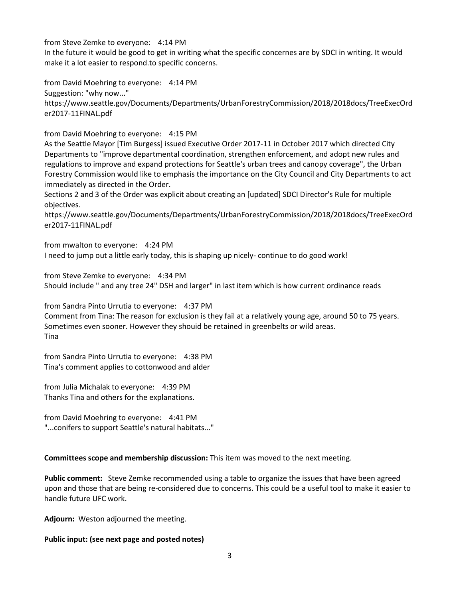from Steve Zemke to everyone: 4:14 PM

In the future it would be good to get in writing what the specific concernes are by SDCI in writing. It would make it a lot easier to respond.to specific concerns.

from David Moehring to everyone: 4:14 PM Suggestion: "why now..." https://www.seattle.gov/Documents/Departments/UrbanForestryCommission/2018/2018docs/TreeExecOrd er2017-11FINAL.pdf

from David Moehring to everyone: 4:15 PM

As the Seattle Mayor [Tim Burgess] issued Executive Order 2017-11 in October 2017 which directed City Departments to "improve departmental coordination, strengthen enforcement, and adopt new rules and regulations to improve and expand protections for Seattle's urban trees and canopy coverage", the Urban Forestry Commission would like to emphasis the importance on the City Council and City Departments to act immediately as directed in the Order.

Sections 2 and 3 of the Order was explicit about creating an [updated] SDCI Director's Rule for multiple objectives.

https://www.seattle.gov/Documents/Departments/UrbanForestryCommission/2018/2018docs/TreeExecOrd er2017-11FINAL.pdf

from mwalton to everyone: 4:24 PM I need to jump out a little early today, this is shaping up nicely- continue to do good work!

from Steve Zemke to everyone: 4:34 PM Should include " and any tree 24" DSH and larger" in last item which is how current ordinance reads

from Sandra Pinto Urrutia to everyone: 4:37 PM

Comment from Tina: The reason for exclusion is they fail at a relatively young age, around 50 to 75 years. Sometimes even sooner. However they shouid be retained in greenbelts or wild areas. Tina

from Sandra Pinto Urrutia to everyone: 4:38 PM Tina's comment applies to cottonwood and alder

from Julia Michalak to everyone: 4:39 PM Thanks Tina and others for the explanations.

from David Moehring to everyone: 4:41 PM "...conifers to support Seattle's natural habitats..."

#### **Committees scope and membership discussion:** This item was moved to the next meeting.

**Public comment:** Steve Zemke recommended using a table to organize the issues that have been agreed upon and those that are being re-considered due to concerns. This could be a useful tool to make it easier to handle future UFC work.

**Adjourn:** Weston adjourned the meeting.

**Public input: (see next page and posted notes)**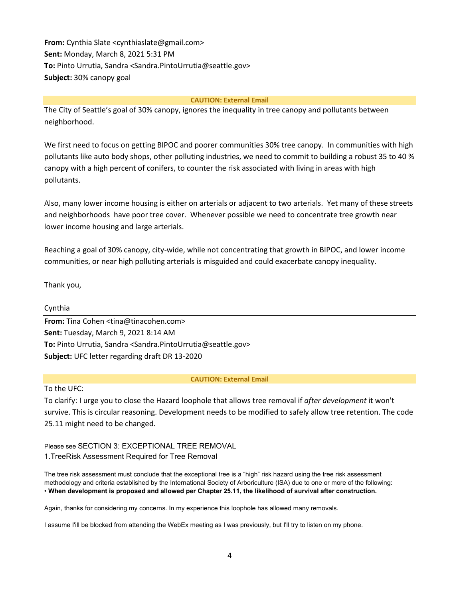**From:** Cynthia Slate <cynthiaslate@gmail.com> **Sent:** Monday, March 8, 2021 5:31 PM **To:** Pinto Urrutia, Sandra <Sandra.PintoUrrutia@seattle.gov> **Subject:** 30% canopy goal

**CAUTION: External Email**

The City of Seattle's goal of 30% canopy, ignores the inequality in tree canopy and pollutants between neighborhood.

We first need to focus on getting BIPOC and poorer communities 30% tree canopy. In communities with high pollutants like auto body shops, other polluting industries, we need to commit to building a robust 35 to 40 % canopy with a high percent of conifers, to counter the risk associated with living in areas with high pollutants.

Also, many lower income housing is either on arterials or adjacent to two arterials. Yet many of these streets and neighborhoods have poor tree cover. Whenever possible we need to concentrate tree growth near lower income housing and large arterials.

Reaching a goal of 30% canopy, city-wide, while not concentrating that growth in BIPOC, and lower income communities, or near high polluting arterials is misguided and could exacerbate canopy inequality.

Thank you,

#### Cynthia

**From:** Tina Cohen <tina@tinacohen.com> **Sent:** Tuesday, March 9, 2021 8:14 AM **To:** Pinto Urrutia, Sandra <Sandra.PintoUrrutia@seattle.gov> **Subject:** UFC letter regarding draft DR 13-2020

#### **CAUTION: External Email**

#### To the UFC:

To clarify: I urge you to close the Hazard loophole that allows tree removal if *after development* it won't survive. This is circular reasoning. Development needs to be modified to safely allow tree retention. The code 25.11 might need to be changed.

Please see SECTION 3: EXCEPTIONAL TREE REMOVAL 1.TreeRisk Assessment Required for Tree Removal

The tree risk assessment must conclude that the exceptional tree is a "high" risk hazard using the tree risk assessment methodology and criteria established by the International Society of Arboriculture (ISA) due to one or more of the following: • **When development is proposed and allowed per Chapter 25.11, the likelihood of survival after construction.**

Again, thanks for considering my concerns. In my experience this loophole has allowed many removals.

I assume I'ill be blocked from attending the WebEx meeting as I was previously, but I'll try to listen on my phone.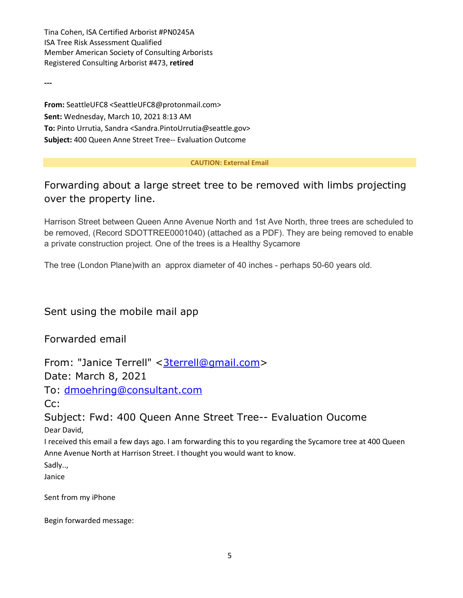Tina Cohen, ISA Certified Arborist #PN0245A ISA Tree Risk Assessment Qualified Member American Society of Consulting Arborists Registered Consulting Arborist #473, **retired**

**---**

**From:** SeattleUFC8 <SeattleUFC8@protonmail.com> **Sent:** Wednesday, March 10, 2021 8:13 AM **To:** Pinto Urrutia, Sandra <Sandra.PintoUrrutia@seattle.gov> **Subject:** 400 Queen Anne Street Tree-- Evaluation Outcome

#### **CAUTION: External Email**

# Forwarding about a large street tree to be removed with limbs projecting over the property line.

Harrison Street between Queen Anne Avenue North and 1st Ave North, three trees are scheduled to be removed, (Record SDOTTREE0001040) (attached as a PDF). They are being removed to enable a private construction project. One of the trees is a Healthy Sycamore

The tree (London Plane)with an approx diameter of 40 inches - perhaps 50-60 years old.

Sent using the mobile mail app

Forwarded email

From: "Janice Terrell" [<3terrell@gmail.com>](mailto:3terrell@gmail.com) Date: March 8, 2021

To: [dmoehring@consultant.com](mailto:dmoehring@consultant.com)

Cc:

Subject: Fwd: 400 Queen Anne Street Tree-- Evaluation Oucome Dear David,

I received this email a few days ago. I am forwarding this to you regarding the Sycamore tree at 400 Queen Anne Avenue North at Harrison Street. I thought you would want to know.

Sadly..,

Janice

Sent from my iPhone

Begin forwarded message: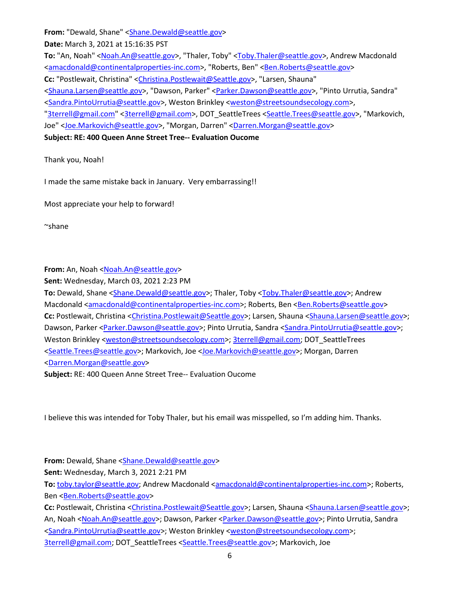From: "Dewald, Shane" [<Shane.Dewald@seattle.gov>](mailto:Shane.Dewald@seattle.gov)

**Date:** March 3, 2021 at 15:16:35 PST

To: "An, Noah" [<Noah.An@seattle.gov>](mailto:Noah.An@seattle.gov), "Thaler, Toby" [<Toby.Thaler@seattle.gov>](mailto:Toby.Thaler@seattle.gov), Andrew Macdonald [<amacdonald@continentalproperties-inc.com>](mailto:amacdonald@continentalproperties-inc.com), "Roberts, Ben" [<Ben.Roberts@seattle.gov>](mailto:Ben.Roberts@seattle.gov) **Cc:** "Postlewait, Christina" [<Christina.Postlewait@Seattle.gov>](mailto:Christina.Postlewait@Seattle.gov), "Larsen, Shauna" [<Shauna.Larsen@seattle.gov>](mailto:Shauna.Larsen@seattle.gov), "Dawson, Parker" [<Parker.Dawson@seattle.gov>](mailto:Parker.Dawson@seattle.gov), "Pinto Urrutia, Sandra" [<Sandra.PintoUrrutia@seattle.gov>](mailto:Sandra.PintoUrrutia@seattle.gov), Weston Brinkley [<weston@streetsoundsecology.com>](mailto:weston@streetsoundsecology.com), ["3terrell@gmail.com"](mailto:3terrell@gmail.com) [<3terrell@gmail.com>](mailto:3terrell@gmail.com), DOT\_SeattleTrees [<Seattle.Trees@seattle.gov>](mailto:Seattle.Trees@seattle.gov), "Markovich, Joe" [<Joe.Markovich@seattle.gov>](mailto:Joe.Markovich@seattle.gov), "Morgan, Darren" [<Darren.Morgan@seattle.gov>](mailto:Darren.Morgan@seattle.gov) **Subject: RE: 400 Queen Anne Street Tree-- Evaluation Oucome**

Thank you, Noah!

I made the same mistake back in January. Very embarrassing!!

Most appreciate your help to forward!

~shane

#### From: An, Noah [<Noah.An@seattle.gov>](mailto:Noah.An@seattle.gov)

**Sent:** Wednesday, March 03, 2021 2:23 PM

**To:** Dewald, Shane [<Shane.Dewald@seattle.gov>](mailto:Shane.Dewald@seattle.gov); Thaler, Toby [<Toby.Thaler@seattle.gov>](mailto:Toby.Thaler@seattle.gov); Andrew Macdonald <**amacdonald@continentalproperties-inc.com**>; Roberts, Ben [<Ben.Roberts@seattle.gov>](mailto:Ben.Roberts@seattle.gov) **Cc:** Postlewait, Christina [<Christina.Postlewait@Seattle.gov>](mailto:Christina.Postlewait@Seattle.gov); Larsen, Shauna [<Shauna.Larsen@seattle.gov>](mailto:Shauna.Larsen@seattle.gov); Dawson, Parker [<Parker.Dawson@seattle.gov>](mailto:Parker.Dawson@seattle.gov); Pinto Urrutia, Sandra [<Sandra.PintoUrrutia@seattle.gov>](mailto:Sandra.PintoUrrutia@seattle.gov); Weston Brinkley [<weston@streetsoundsecology.com>](mailto:weston@streetsoundsecology.com); [3terrell@gmail.com;](mailto:3terrell@gmail.com) DOT\_SeattleTrees [<Seattle.Trees@seattle.gov>](mailto:Seattle.Trees@seattle.gov); Markovich, Joe [<Joe.Markovich@seattle.gov>](mailto:Joe.Markovich@seattle.gov); Morgan, Darren [<Darren.Morgan@seattle.gov>](mailto:Darren.Morgan@seattle.gov) **Subject:** RE: 400 Queen Anne Street Tree-- Evaluation Oucome

I believe this was intended for Toby Thaler, but his email was misspelled, so I'm adding him. Thanks.

From: Dewald, Shane [<Shane.Dewald@seattle.gov>](mailto:Shane.Dewald@seattle.gov)

**Sent:** Wednesday, March 3, 2021 2:21 PM

To: [toby.taylor@seattle.gov;](mailto:toby.taylor@seattle.gov) Andrew Macdonald [<amacdonald@continentalproperties-inc.com>](mailto:amacdonald@continentalproperties-inc.com); Roberts, Ben [<Ben.Roberts@seattle.gov>](mailto:Ben.Roberts@seattle.gov)

**Cc:** Postlewait, Christina [<Christina.Postlewait@Seattle.gov>](mailto:Christina.Postlewait@Seattle.gov); Larsen, Shauna [<Shauna.Larsen@seattle.gov>](mailto:Shauna.Larsen@seattle.gov); An, Noah [<Noah.An@seattle.gov>](mailto:Noah.An@seattle.gov); Dawson, Parker [<Parker.Dawson@seattle.gov>](mailto:Parker.Dawson@seattle.gov); Pinto Urrutia, Sandra [<Sandra.PintoUrrutia@seattle.gov>](mailto:Sandra.PintoUrrutia@seattle.gov); Weston Brinkley [<weston@streetsoundsecology.com>](mailto:weston@streetsoundsecology.com); [3terrell@gmail.com;](mailto:3terrell@gmail.com) DOT\_SeattleTrees [<Seattle.Trees@seattle.gov>](mailto:Seattle.Trees@seattle.gov); Markovich, Joe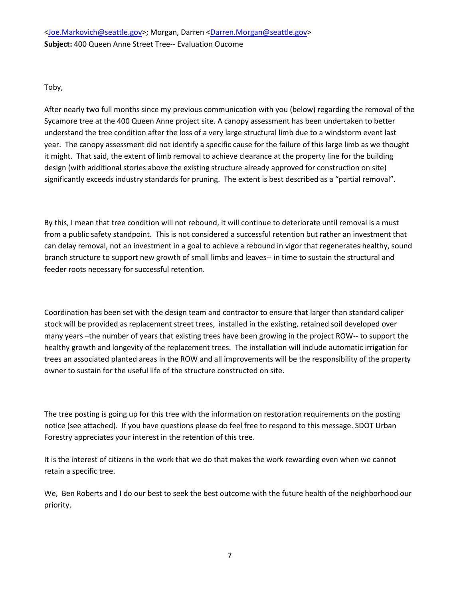#### Toby,

After nearly two full months since my previous communication with you (below) regarding the removal of the Sycamore tree at the 400 Queen Anne project site. A canopy assessment has been undertaken to better understand the tree condition after the loss of a very large structural limb due to a windstorm event last year. The canopy assessment did not identify a specific cause for the failure of this large limb as we thought it might. That said, the extent of limb removal to achieve clearance at the property line for the building design (with additional stories above the existing structure already approved for construction on site) significantly exceeds industry standards for pruning. The extent is best described as a "partial removal".

By this, I mean that tree condition will not rebound, it will continue to deteriorate until removal is a must from a public safety standpoint. This is not considered a successful retention but rather an investment that can delay removal, not an investment in a goal to achieve a rebound in vigor that regenerates healthy, sound branch structure to support new growth of small limbs and leaves-- in time to sustain the structural and feeder roots necessary for successful retention.

Coordination has been set with the design team and contractor to ensure that larger than standard caliper stock will be provided as replacement street trees, installed in the existing, retained soil developed over many years –the number of years that existing trees have been growing in the project ROW-- to support the healthy growth and longevity of the replacement trees. The installation will include automatic irrigation for trees an associated planted areas in the ROW and all improvements will be the responsibility of the property owner to sustain for the useful life of the structure constructed on site.

The tree posting is going up for this tree with the information on restoration requirements on the posting notice (see attached). If you have questions please do feel free to respond to this message. SDOT Urban Forestry appreciates your interest in the retention of this tree.

It is the interest of citizens in the work that we do that makes the work rewarding even when we cannot retain a specific tree.

We, Ben Roberts and I do our best to seek the best outcome with the future health of the neighborhood our priority.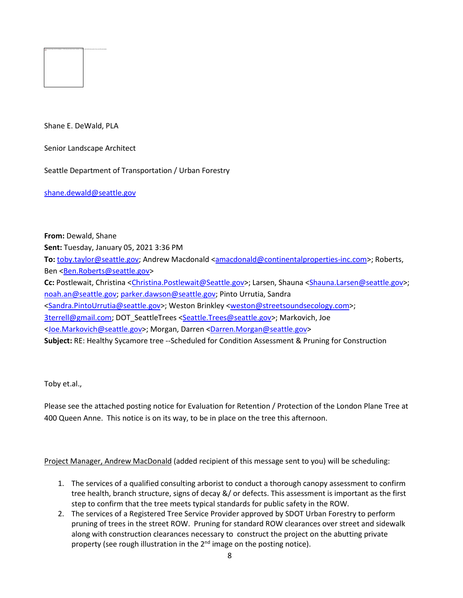

Shane E. DeWald, PLA

Senior Landscape Architect

Seattle Department of Transportation / Urban Forestry

[shane.dewald@seattle.gov](mailto:shane.dewald@seattle.gov)

**From:** Dewald, Shane

**Sent:** Tuesday, January 05, 2021 3:36 PM

To: [toby.taylor@seattle.gov;](mailto:toby.taylor@seattle.gov) Andrew Macdonald [<amacdonald@continentalproperties-inc.com>](mailto:amacdonald@continentalproperties-inc.com); Roberts, Ben [<Ben.Roberts@seattle.gov>](mailto:Ben.Roberts@seattle.gov)

**Cc:** Postlewait, Christina [<Christina.Postlewait@Seattle.gov>](mailto:Christina.Postlewait@Seattle.gov); Larsen, Shauna [<Shauna.Larsen@seattle.gov>](mailto:Shauna.Larsen@seattle.gov); [noah.an@seattle.gov;](mailto:noah.an@seattle.gov) [parker.dawson@seattle.gov;](mailto:parker.dawson@seattle.gov) Pinto Urrutia, Sandra

[<Sandra.PintoUrrutia@seattle.gov>](mailto:Sandra.PintoUrrutia@seattle.gov); Weston Brinkley [<weston@streetsoundsecology.com>](mailto:weston@streetsoundsecology.com);

[3terrell@gmail.com;](mailto:3terrell@gmail.com) DOT\_SeattleTrees [<Seattle.Trees@seattle.gov>](mailto:Seattle.Trees@seattle.gov); Markovich, Joe

[<Joe.Markovich@seattle.gov>](mailto:Joe.Markovich@seattle.gov); Morgan, Darren [<Darren.Morgan@seattle.gov>](mailto:Darren.Morgan@seattle.gov)

**Subject:** RE: Healthy Sycamore tree --Scheduled for Condition Assessment & Pruning for Construction

Toby et.al.,

Please see the attached posting notice for Evaluation for Retention / Protection of the London Plane Tree at 400 Queen Anne. This notice is on its way, to be in place on the tree this afternoon.

Project Manager, Andrew MacDonald (added recipient of this message sent to you) will be scheduling:

- 1. The services of a qualified consulting arborist to conduct a thorough canopy assessment to confirm tree health, branch structure, signs of decay &/ or defects. This assessment is important as the first step to confirm that the tree meets typical standards for public safety in the ROW.
- 2. The services of a Registered Tree Service Provider approved by SDOT Urban Forestry to perform pruning of trees in the street ROW. Pruning for standard ROW clearances over street and sidewalk along with construction clearances necessary to construct the project on the abutting private property (see rough illustration in the  $2<sup>nd</sup>$  image on the posting notice).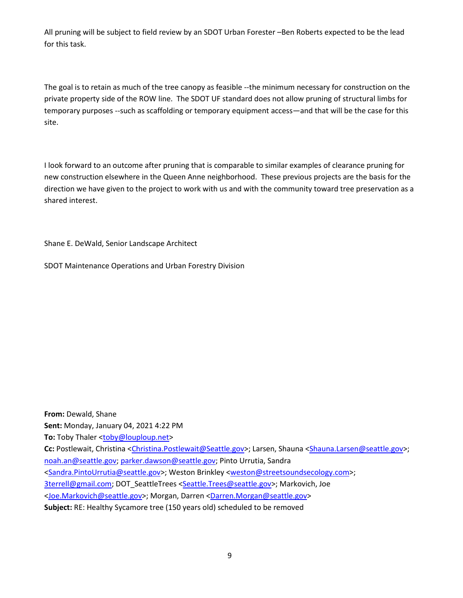All pruning will be subject to field review by an SDOT Urban Forester –Ben Roberts expected to be the lead for this task.

The goal is to retain as much of the tree canopy as feasible --the minimum necessary for construction on the private property side of the ROW line. The SDOT UF standard does not allow pruning of structural limbs for temporary purposes --such as scaffolding or temporary equipment access—and that will be the case for this site.

I look forward to an outcome after pruning that is comparable to similar examples of clearance pruning for new construction elsewhere in the Queen Anne neighborhood. These previous projects are the basis for the direction we have given to the project to work with us and with the community toward tree preservation as a shared interest.

Shane E. DeWald, Senior Landscape Architect

SDOT Maintenance Operations and Urban Forestry Division

**From:** Dewald, Shane **Sent:** Monday, January 04, 2021 4:22 PM **To:** Toby Thaler [<toby@louploup.net>](mailto:toby@louploup.net) **Cc:** Postlewait, Christina [<Christina.Postlewait@Seattle.gov>](mailto:Christina.Postlewait@Seattle.gov); Larsen, Shauna [<Shauna.Larsen@seattle.gov>](mailto:Shauna.Larsen@seattle.gov); [noah.an@seattle.gov;](mailto:noah.an@seattle.gov) [parker.dawson@seattle.gov;](mailto:parker.dawson@seattle.gov) Pinto Urrutia, Sandra [<Sandra.PintoUrrutia@seattle.gov>](mailto:Sandra.PintoUrrutia@seattle.gov); Weston Brinkley [<weston@streetsoundsecology.com>](mailto:weston@streetsoundsecology.com); [3terrell@gmail.com;](mailto:3terrell@gmail.com) DOT\_SeattleTrees [<Seattle.Trees@seattle.gov>](mailto:Seattle.Trees@seattle.gov); Markovich, Joe [<Joe.Markovich@seattle.gov>](mailto:Joe.Markovich@seattle.gov); Morgan, Darren [<Darren.Morgan@seattle.gov>](mailto:Darren.Morgan@seattle.gov) **Subject:** RE: Healthy Sycamore tree (150 years old) scheduled to be removed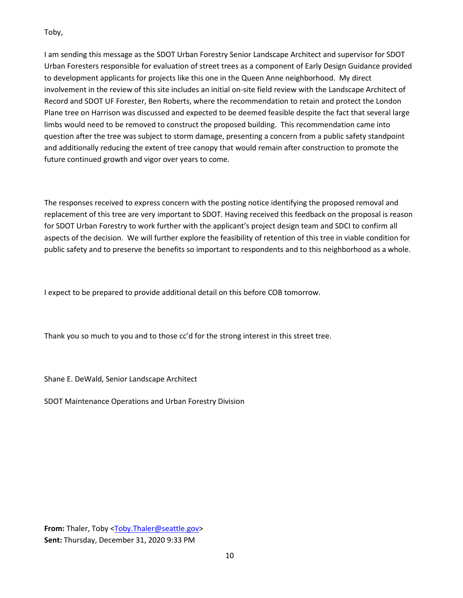#### Toby,

I am sending this message as the SDOT Urban Forestry Senior Landscape Architect and supervisor for SDOT Urban Foresters responsible for evaluation of street trees as a component of Early Design Guidance provided to development applicants for projects like this one in the Queen Anne neighborhood. My direct involvement in the review of this site includes an initial on-site field review with the Landscape Architect of Record and SDOT UF Forester, Ben Roberts, where the recommendation to retain and protect the London Plane tree on Harrison was discussed and expected to be deemed feasible despite the fact that several large limbs would need to be removed to construct the proposed building. This recommendation came into question after the tree was subject to storm damage, presenting a concern from a public safety standpoint and additionally reducing the extent of tree canopy that would remain after construction to promote the future continued growth and vigor over years to come.

The responses received to express concern with the posting notice identifying the proposed removal and replacement of this tree are very important to SDOT. Having received this feedback on the proposal is reason for SDOT Urban Forestry to work further with the applicant's project design team and SDCI to confirm all aspects of the decision. We will further explore the feasibility of retention of this tree in viable condition for public safety and to preserve the benefits so important to respondents and to this neighborhood as a whole.

I expect to be prepared to provide additional detail on this before COB tomorrow.

Thank you so much to you and to those cc'd for the strong interest in this street tree.

Shane E. DeWald, Senior Landscape Architect

SDOT Maintenance Operations and Urban Forestry Division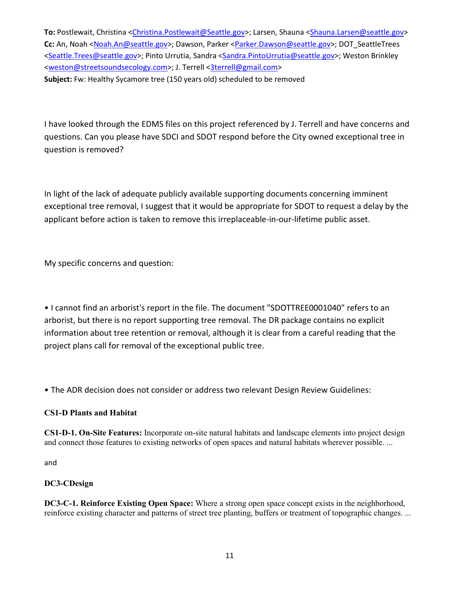To: Postlewait, Christina [<Christina.Postlewait@Seattle.gov>](mailto:Christina.Postlewait@Seattle.gov); Larsen, Shauna [<Shauna.Larsen@seattle.gov>](mailto:Shauna.Larsen@seattle.gov) **Cc:** An, Noah [<Noah.An@seattle.gov>](mailto:Noah.An@seattle.gov); Dawson, Parker [<Parker.Dawson@seattle.gov>](mailto:Parker.Dawson@seattle.gov); DOT\_SeattleTrees [<Seattle.Trees@seattle.gov>](mailto:Seattle.Trees@seattle.gov); Pinto Urrutia, Sandra [<Sandra.PintoUrrutia@seattle.gov>](mailto:Sandra.PintoUrrutia@seattle.gov); Weston Brinkley [<weston@streetsoundsecology.com>](mailto:weston@streetsoundsecology.com); J. Terrell [<3terrell@gmail.com>](mailto:3terrell@gmail.com) **Subject:** Fw: Healthy Sycamore tree (150 years old) scheduled to be removed

I have looked through the EDMS files on this project referenced by J. Terrell and have concerns and questions. Can you please have SDCI and SDOT respond before the City owned exceptional tree in question is removed?

In light of the lack of adequate publicly available supporting documents concerning imminent exceptional tree removal, I suggest that it would be appropriate for SDOT to request a delay by the applicant before action is taken to remove this irreplaceable-in-our-lifetime public asset.

My specific concerns and question:

• I cannot find an arborist's report in the file. The document "SDOTTREE0001040" refers to an arborist, but there is no report supporting tree removal. The DR package contains no explicit information about tree retention or removal, although it is clear from a careful reading that the project plans call for removal of the exceptional public tree.

• The ADR decision does not consider or address two relevant Design Review Guidelines:

# **CS1-D Plants and Habitat**

**CS1-D-1. On-Site Features:** Incorporate on-site natural habitats and landscape elements into project design and connect those features to existing networks of open spaces and natural habitats wherever possible. ...

and

# **DC3-CDesign**

**DC3-C-1. Reinforce Existing Open Space:** Where a strong open space concept exists in the neighborhood, reinforce existing character and patterns of street tree planting, buffers or treatment of topographic changes. ...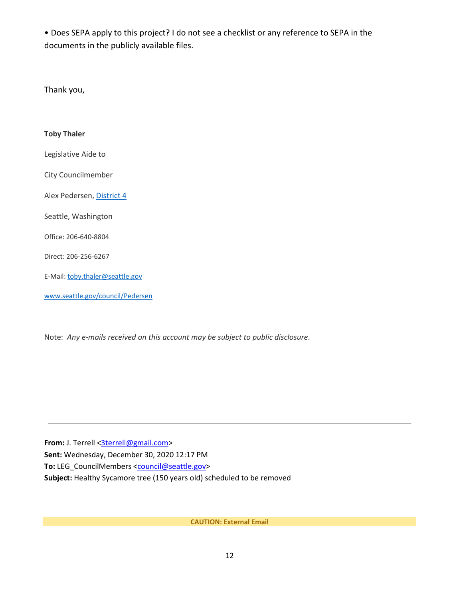• Does SEPA apply to this project? I do not see a checklist or any reference to SEPA in the documents in the publicly available files.

Thank you,

# **Toby Thaler** Legislative Aide to City Councilmember Alex Pedersen, [District](https://www.kingcounty.gov/depts/elections/elections/%7E/media/depts/elections/elections/maps/seattle-city-council-maps/seattle-district-4.ashx) 4 Seattle, Washington Office: 206-640-8804 Direct: 206-256-6267 E-Mail: [toby.thaler@seattle.gov](mailto:toby.thaler@seattle.gov) [www.seattle.gov/council/Pedersen](http://www.seattle.gov/council/Pedersen)

Note: *Any e-mails received on this account may be subject to public disclosure*.

**From:** J. Terrell <**3terrell@gmail.com> Sent:** Wednesday, December 30, 2020 12:17 PM To: LEG\_CouncilMembers [<council@seattle.gov>](mailto:council@seattle.gov) **Subject:** Healthy Sycamore tree (150 years old) scheduled to be removed

**CAUTION: External Email**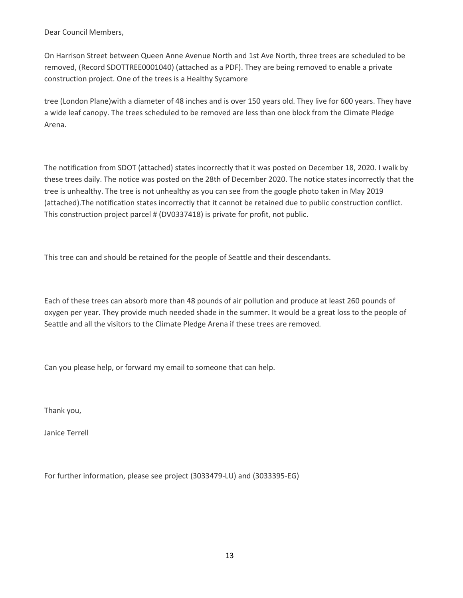Dear Council Members,

On Harrison Street between Queen Anne Avenue North and 1st Ave North, three trees are scheduled to be removed, (Record SDOTTREE0001040) (attached as a PDF). They are being removed to enable a private construction project. One of the trees is a Healthy Sycamore

tree (London Plane)with a diameter of 48 inches and is over 150 years old. They live for 600 years. They have a wide leaf canopy. The trees scheduled to be removed are less than one block from the Climate Pledge Arena.

The notification from SDOT (attached) states incorrectly that it was posted on December 18, 2020. I walk by these trees daily. The notice was posted on the 28th of December 2020. The notice states incorrectly that the tree is unhealthy. The tree is not unhealthy as you can see from the google photo taken in May 2019 (attached).The notification states incorrectly that it cannot be retained due to public construction conflict. This construction project parcel # (DV0337418) is private for profit, not public.

This tree can and should be retained for the people of Seattle and their descendants.

Each of these trees can absorb more than 48 pounds of air pollution and produce at least 260 pounds of oxygen per year. They provide much needed shade in the summer. It would be a great loss to the people of Seattle and all the visitors to the Climate Pledge Arena if these trees are removed.

Can you please help, or forward my email to someone that can help.

Thank you,

Janice Terrell

For further information, please see project (3033479-LU) and (3033395-EG)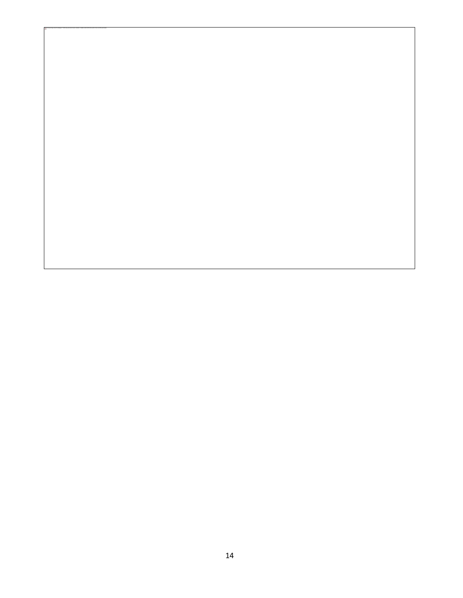The linked image cannot be displayed. The file may have been moved, renamed, or deleted. Verify that the link points to the correct file and location.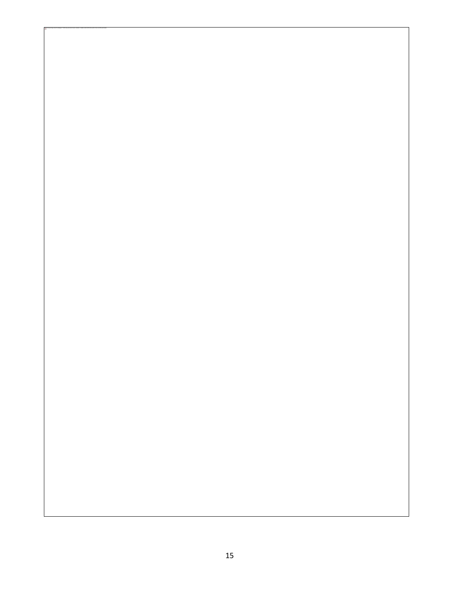15

The linked image cannot be displayed. The file may have been moved, renamed, or deleted. Verify that the link points to the correct file and location.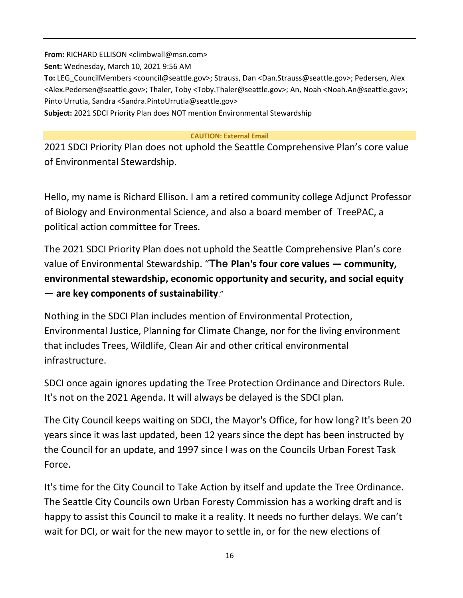**From:** RICHARD ELLISON <climbwall@msn.com> **Sent:** Wednesday, March 10, 2021 9:56 AM **To:** LEG\_CouncilMembers <council@seattle.gov>; Strauss, Dan <Dan.Strauss@seattle.gov>; Pedersen, Alex <Alex.Pedersen@seattle.gov>; Thaler, Toby <Toby.Thaler@seattle.gov>; An, Noah <Noah.An@seattle.gov>; Pinto Urrutia, Sandra <Sandra.PintoUrrutia@seattle.gov> **Subject:** 2021 SDCI Priority Plan does NOT mention Environmental Stewardship

## **CAUTION: External Email**

2021 SDCI Priority Plan does not uphold the Seattle Comprehensive Plan's core value of Environmental Stewardship.

Hello, my name is Richard Ellison. I am a retired community college Adjunct Professor of Biology and Environmental Science, and also a board member of TreePAC, a political action committee for Trees.

The 2021 SDCI Priority Plan does not uphold the Seattle Comprehensive Plan's core value of Environmental Stewardship. "**The Plan's four core values — community, environmental stewardship, economic opportunity and security, and social equity — are key components of sustainability**."

Nothing in the SDCI Plan includes mention of Environmental Protection, Environmental Justice, Planning for Climate Change, nor for the living environment that includes Trees, Wildlife, Clean Air and other critical environmental infrastructure.

SDCI once again ignores updating the Tree Protection Ordinance and Directors Rule. It's not on the 2021 Agenda. It will always be delayed is the SDCI plan.

The City Council keeps waiting on SDCI, the Mayor's Office, for how long? It's been 20 years since it was last updated, been 12 years since the dept has been instructed by the Council for an update, and 1997 since I was on the Councils Urban Forest Task Force.

It's time for the City Council to Take Action by itself and update the Tree Ordinance. The Seattle City Councils own Urban Foresty Commission has a working draft and is happy to assist this Council to make it a reality. It needs no further delays. We can't wait for DCI, or wait for the new mayor to settle in, or for the new elections of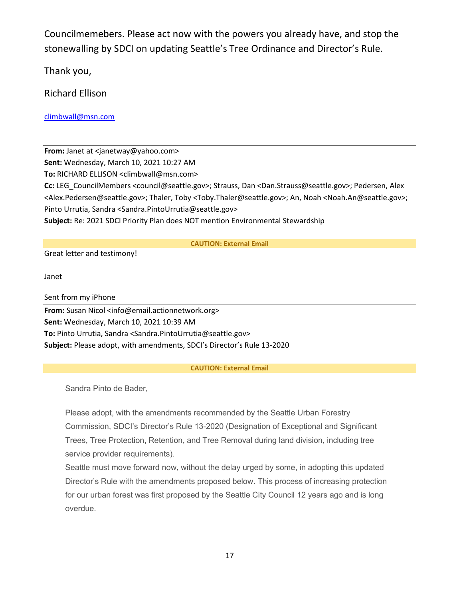Councilmemebers. Please act now with the powers you already have, and stop the stonewalling by SDCI on updating Seattle's Tree Ordinance and Director's Rule.

Thank you,

Richard Ellison

[climbwall@msn.com](mailto:climbwall@msn.com)

**From:** Janet at <janetway@yahoo.com>

**Sent:** Wednesday, March 10, 2021 10:27 AM

**To:** RICHARD ELLISON <climbwall@msn.com>

**Cc:** LEG\_CouncilMembers <council@seattle.gov>; Strauss, Dan <Dan.Strauss@seattle.gov>; Pedersen, Alex <Alex.Pedersen@seattle.gov>; Thaler, Toby <Toby.Thaler@seattle.gov>; An, Noah <Noah.An@seattle.gov>; Pinto Urrutia, Sandra <Sandra.PintoUrrutia@seattle.gov>

**Subject:** Re: 2021 SDCI Priority Plan does NOT mention Environmental Stewardship

# **CAUTION: External Email**

Great letter and testimony!

Janet

Sent from my iPhone

**From:** Susan Nicol <info@email.actionnetwork.org> **Sent:** Wednesday, March 10, 2021 10:39 AM **To:** Pinto Urrutia, Sandra <Sandra.PintoUrrutia@seattle.gov> **Subject:** Please adopt, with amendments, SDCI's Director's Rule 13-2020

# **CAUTION: External Email**

Sandra Pinto de Bader,

Please adopt, with the amendments recommended by the Seattle Urban Forestry Commission, SDCI's Director's Rule 13-2020 (Designation of Exceptional and Significant Trees, Tree Protection, Retention, and Tree Removal during land division, including tree service provider requirements).

Seattle must move forward now, without the delay urged by some, in adopting this updated Director's Rule with the amendments proposed below. This process of increasing protection for our urban forest was first proposed by the Seattle City Council 12 years ago and is long overdue.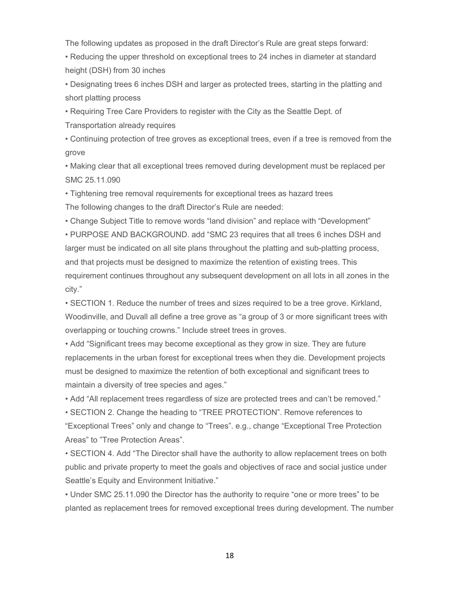The following updates as proposed in the draft Director's Rule are great steps forward:

• Reducing the upper threshold on exceptional trees to 24 inches in diameter at standard height (DSH) from 30 inches

• Designating trees 6 inches DSH and larger as protected trees, starting in the platting and short platting process

• Requiring Tree Care Providers to register with the City as the Seattle Dept. of

Transportation already requires

• Continuing protection of tree groves as exceptional trees, even if a tree is removed from the grove

• Making clear that all exceptional trees removed during development must be replaced per SMC 25.11.090

• Tightening tree removal requirements for exceptional trees as hazard trees The following changes to the draft Director's Rule are needed:

• Change Subject Title to remove words "land division" and replace with "Development" • PURPOSE AND BACKGROUND. add "SMC 23 requires that all trees 6 inches DSH and larger must be indicated on all site plans throughout the platting and sub-platting process, and that projects must be designed to maximize the retention of existing trees. This requirement continues throughout any subsequent development on all lots in all zones in the city."

• SECTION 1. Reduce the number of trees and sizes required to be a tree grove. Kirkland, Woodinville, and Duvall all define a tree grove as "a group of 3 or more significant trees with overlapping or touching crowns." Include street trees in groves.

• Add "Significant trees may become exceptional as they grow in size. They are future replacements in the urban forest for exceptional trees when they die. Development projects must be designed to maximize the retention of both exceptional and significant trees to maintain a diversity of tree species and ages."

• Add "All replacement trees regardless of size are protected trees and can't be removed."

• SECTION 2. Change the heading to "TREE PROTECTION". Remove references to "Exceptional Trees" only and change to "Trees". e.g., change "Exceptional Tree Protection Areas" to "Tree Protection Areas".

• SECTION 4. Add "The Director shall have the authority to allow replacement trees on both public and private property to meet the goals and objectives of race and social justice under Seattle's Equity and Environment Initiative."

• Under SMC 25.11.090 the Director has the authority to require "one or more trees" to be planted as replacement trees for removed exceptional trees during development. The number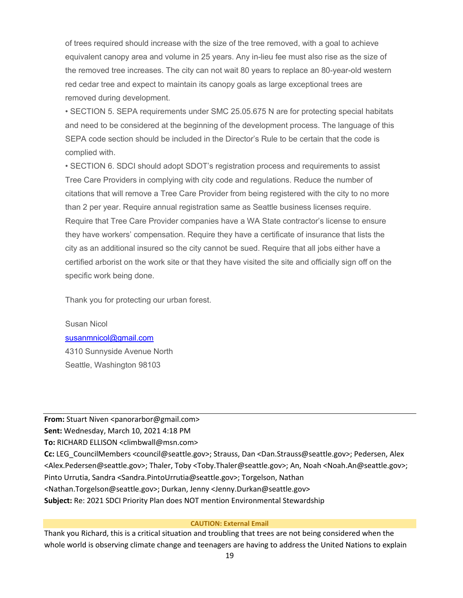of trees required should increase with the size of the tree removed, with a goal to achieve equivalent canopy area and volume in 25 years. Any in-lieu fee must also rise as the size of the removed tree increases. The city can not wait 80 years to replace an 80-year-old western red cedar tree and expect to maintain its canopy goals as large exceptional trees are removed during development.

• SECTION 5. SEPA requirements under SMC 25.05.675 N are for protecting special habitats and need to be considered at the beginning of the development process. The language of this SEPA code section should be included in the Director's Rule to be certain that the code is complied with.

• SECTION 6. SDCI should adopt SDOT's registration process and requirements to assist Tree Care Providers in complying with city code and regulations. Reduce the number of citations that will remove a Tree Care Provider from being registered with the city to no more than 2 per year. Require annual registration same as Seattle business licenses require. Require that Tree Care Provider companies have a WA State contractor's license to ensure they have workers' compensation. Require they have a certificate of insurance that lists the city as an additional insured so the city cannot be sued. Require that all jobs either have a certified arborist on the work site or that they have visited the site and officially sign off on the specific work being done.

Thank you for protecting our urban forest.

Susan Nicol [susanmnicol@gmail.com](mailto:susanmnicol@gmail.com) 4310 Sunnyside Avenue North Seattle, Washington 98103

**From:** Stuart Niven <panorarbor@gmail.com>

**Sent:** Wednesday, March 10, 2021 4:18 PM

**To:** RICHARD ELLISON <climbwall@msn.com>

**Cc:** LEG\_CouncilMembers <council@seattle.gov>; Strauss, Dan <Dan.Strauss@seattle.gov>; Pedersen, Alex <Alex.Pedersen@seattle.gov>; Thaler, Toby <Toby.Thaler@seattle.gov>; An, Noah <Noah.An@seattle.gov>; Pinto Urrutia, Sandra <Sandra.PintoUrrutia@seattle.gov>; Torgelson, Nathan <Nathan.Torgelson@seattle.gov>; Durkan, Jenny <Jenny.Durkan@seattle.gov> **Subject:** Re: 2021 SDCI Priority Plan does NOT mention Environmental Stewardship

#### **CAUTION: External Email**

Thank you Richard, this is a critical situation and troubling that trees are not being considered when the whole world is observing climate change and teenagers are having to address the United Nations to explain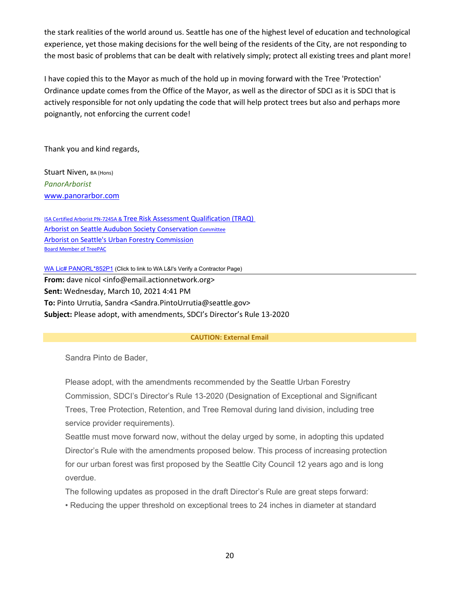the stark realities of the world around us. Seattle has one of the highest level of education and technological experience, yet those making decisions for the well being of the residents of the City, are not responding to the most basic of problems that can be dealt with relatively simply; protect all existing trees and plant more!

I have copied this to the Mayor as much of the hold up in moving forward with the Tree 'Protection' Ordinance update comes from the Office of the Mayor, as well as the director of SDCI as it is SDCI that is actively responsible for not only updating the code that will help protect trees but also and perhaps more poignantly, not enforcing the current code!

Thank you and kind regards,

Stuart Niven, BA (Hons) *PanorArborist* [www.panorarbor.com](https://protect2.fireeye.com/v1/url?k=96da7ca2-c94145b4-96da5412-8681d5b5fa8e-f2ad2d984ba85534&q=1&e=aa04e516-1bc9-471d-affd-e9abbee015e5&u=http%3A%2F%2Fwww.panorarbor.com%2F)

ISA Certified Arborist PN-7245A & [Tree Risk Assessment Qualification \(TRAQ\)](https://protect2.fireeye.com/v1/url?k=a0f95ff9-ff6266ef-a0f97749-8681d5b5fa8e-9cf4c2450baa5405&q=1&e=aa04e516-1bc9-471d-affd-e9abbee015e5&u=https%3A%2F%2Fwww.treesaregood.org%2Ffindanarborist%2Fverify) [Arborist on Seattle Audubon Society Conservation](https://protect2.fireeye.com/v1/url?k=46428d50-19d9b446-4642a5e0-8681d5b5fa8e-d320d0f012867b13&q=1&e=aa04e516-1bc9-471d-affd-e9abbee015e5&u=http%3A%2F%2Fwww.seattleaudubon.org%2Fsas%2FAbout%2FConservation%2FArchive%2FAboutOurProgram%2FConservationCommittee.aspx) [Committee](https://protect2.fireeye.com/v1/url?k=46428d50-19d9b446-4642a5e0-8681d5b5fa8e-d320d0f012867b13&q=1&e=aa04e516-1bc9-471d-affd-e9abbee015e5&u=http%3A%2F%2Fwww.seattleaudubon.org%2Fsas%2FAbout%2FConservation%2FArchive%2FAboutOurProgram%2FConservationCommittee.aspx) [Arborist on Seattle's Urban Forestry](https://www.seattle.gov/urbanforestrycommission) Commission [Board](https://protect2.fireeye.com/v1/url?k=b60e5338-e9956a2e-b60e7b88-8681d5b5fa8e-7e508ce4b8b87847&q=1&e=aa04e516-1bc9-471d-affd-e9abbee015e5&u=https%3A%2F%2Ftreepac.org%2F) [Member of TreePAC](https://protect2.fireeye.com/v1/url?k=71758e14-2eeeb702-7175a6a4-8681d5b5fa8e-61fd8a8fa0136e2a&q=1&e=aa04e516-1bc9-471d-affd-e9abbee015e5&u=https%3A%2F%2Ftreepac.org%2F)

[WA Lic# PANORL\\*852P1](https://secure.lni.wa.gov/verify/Results.aspx#%7B%22firstSearch%22%3A1%2C%22searchCat%22%3A%22Name%22%2C%22searchText%22%3A%22panorarbor%22%2C%22Name%22%3A%22panorarbor%22%2C%22pageNumber%22%3A0%2C%22SearchType%22%3A2%2C%22SortColumn%22%3A%22Rank%22%2C%22SortOrder%22%3A%22desc%22%2C%22pageSize%22%3A10%2C%22ContractorTypeFilter%22%3A%5B%5D%2C%22SessionID%22%3A%2240n4ujjyzdeziggwv4rntrqp%22%2C%22SAW%22%3A%22%22%7D) (Click to link to WA L&I's Verify a Contractor Page) From: dave nicol <info@email.actionnetwork.org> **Sent:** Wednesday, March 10, 2021 4:41 PM **To:** Pinto Urrutia, Sandra <Sandra.PintoUrrutia@seattle.gov> **Subject:** Please adopt, with amendments, SDCI's Director's Rule 13-2020

#### **CAUTION: External Email**

Sandra Pinto de Bader,

Please adopt, with the amendments recommended by the Seattle Urban Forestry Commission, SDCI's Director's Rule 13-2020 (Designation of Exceptional and Significant Trees, Tree Protection, Retention, and Tree Removal during land division, including tree service provider requirements).

Seattle must move forward now, without the delay urged by some, in adopting this updated Director's Rule with the amendments proposed below. This process of increasing protection for our urban forest was first proposed by the Seattle City Council 12 years ago and is long overdue.

The following updates as proposed in the draft Director's Rule are great steps forward:

• Reducing the upper threshold on exceptional trees to 24 inches in diameter at standard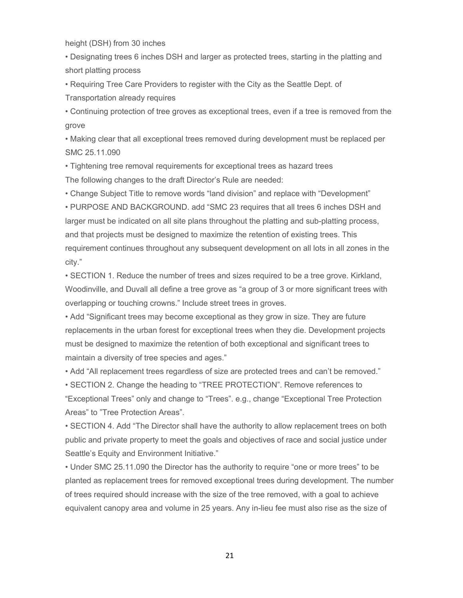height (DSH) from 30 inches

• Designating trees 6 inches DSH and larger as protected trees, starting in the platting and short platting process

• Requiring Tree Care Providers to register with the City as the Seattle Dept. of

Transportation already requires

• Continuing protection of tree groves as exceptional trees, even if a tree is removed from the grove

• Making clear that all exceptional trees removed during development must be replaced per SMC 25.11.090

• Tightening tree removal requirements for exceptional trees as hazard trees

The following changes to the draft Director's Rule are needed:

• Change Subject Title to remove words "land division" and replace with "Development"

• PURPOSE AND BACKGROUND. add "SMC 23 requires that all trees 6 inches DSH and larger must be indicated on all site plans throughout the platting and sub-platting process, and that projects must be designed to maximize the retention of existing trees. This requirement continues throughout any subsequent development on all lots in all zones in the city."

• SECTION 1. Reduce the number of trees and sizes required to be a tree grove. Kirkland, Woodinville, and Duvall all define a tree grove as "a group of 3 or more significant trees with overlapping or touching crowns." Include street trees in groves.

• Add "Significant trees may become exceptional as they grow in size. They are future replacements in the urban forest for exceptional trees when they die. Development projects must be designed to maximize the retention of both exceptional and significant trees to maintain a diversity of tree species and ages."

• Add "All replacement trees regardless of size are protected trees and can't be removed."

• SECTION 2. Change the heading to "TREE PROTECTION". Remove references to "Exceptional Trees" only and change to "Trees". e.g., change "Exceptional Tree Protection Areas" to "Tree Protection Areas".

• SECTION 4. Add "The Director shall have the authority to allow replacement trees on both public and private property to meet the goals and objectives of race and social justice under Seattle's Equity and Environment Initiative."

• Under SMC 25.11.090 the Director has the authority to require "one or more trees" to be planted as replacement trees for removed exceptional trees during development. The number of trees required should increase with the size of the tree removed, with a goal to achieve equivalent canopy area and volume in 25 years. Any in-lieu fee must also rise as the size of